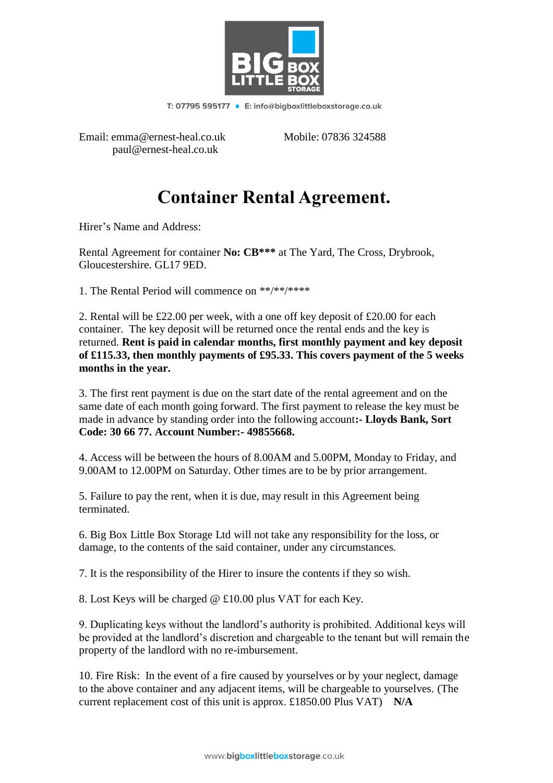

T: 07795 595177 • E: info@bigboxlittleboxstorage.co.uk

Email: emma@ernest-heal.co.uk Mobile: 07836 324588 paul@ernest-heal.co.uk

## **Container Rental Agreement.**

Hirer's Name and Address:

Rental Agreement for container **No: CB\*\*\*** at The Yard, The Cross, Drybrook, Gloucestershire. GL17 9ED.

1. The Rental Period will commence on \*\*/\*\*/\*\*\*\*

2. Rental will be £22.00 per week, with a one off key deposit of £20.00 for each container. The key deposit will be returned once the rental ends and the key is returned. **Rent is paid in calendar months, first monthly payment and key deposit of £115.33, then monthly payments of £95.33. This covers payment of the 5 weeks months in the year.**

3. The first rent payment is due on the start date of the rental agreement and on the same date of each month going forward. The first payment to release the key must be made in advance by standing order into the following account**:- Lloyds Bank, Sort Code: 30 66 77. Account Number:- 49855668.**

4. Access will be between the hours of 8.00AM and 5.00PM, Monday to Friday, and 9.00AM to 12.00PM on Saturday. Other times are to be by prior arrangement.

5. Failure to pay the rent, when it is due, may result in this Agreement being terminated.

6. Big Box Little Box Storage Ltd will not take any responsibility for the loss, or damage, to the contents of the said container, under any circumstances.

7. It is the responsibility of the Hirer to insure the contents if they so wish.

8. Lost Keys will be charged @ £10.00 plus VAT for each Key.

9. Duplicating keys without the landlord's authority is prohibited. Additional keys will be provided at the landlord's discretion and chargeable to the tenant but will remain the property of the landlord with no re-imbursement.

10. Fire Risk: In the event of a fire caused by yourselves or by your neglect, damage to the above container and any adjacent items, will be chargeable to yourselves. (The current replacement cost of this unit is approx. £1850.00 Plus VAT) **N/A**